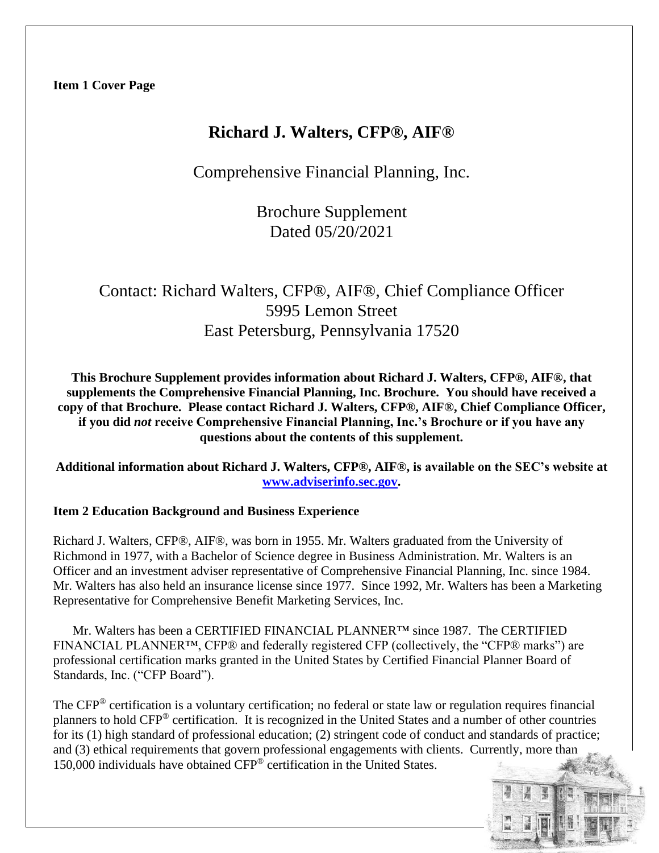## **Richard J. Walters, CFP®, AIF®**

Comprehensive Financial Planning, Inc.

Brochure Supplement Dated 05/20/2021

# Contact: Richard Walters, CFP®, AIF®, Chief Compliance Officer 5995 Lemon Street East Petersburg, Pennsylvania 17520

**This Brochure Supplement provides information about Richard J. Walters, CFP®, AIF®, that supplements the Comprehensive Financial Planning, Inc. Brochure. You should have received a copy of that Brochure. Please contact Richard J. Walters, CFP®, AIF®, Chief Compliance Officer, if you did** *not* **receive Comprehensive Financial Planning, Inc.'s Brochure or if you have any questions about the contents of this supplement.**

**Additional information about Richard J. Walters, CFP®, AIF®, is available on the SEC's website at [www.adviserinfo.sec.gov.](http://www.adviserinfo.sec.gov/)**

## **Item 2 Education Background and Business Experience**

Richard J. Walters, CFP®, AIF®, was born in 1955. Mr. Walters graduated from the University of Richmond in 1977, with a Bachelor of Science degree in Business Administration. Mr. Walters is an Officer and an investment adviser representative of Comprehensive Financial Planning, Inc. since 1984. Mr. Walters has also held an insurance license since 1977. Since 1992, Mr. Walters has been a Marketing Representative for Comprehensive Benefit Marketing Services, Inc.

Mr. Walters has been a CERTIFIED FINANCIAL PLANNER™ since 1987. The CERTIFIED FINANCIAL PLANNER™, CFP® and federally registered CFP (collectively, the "CFP® marks") are professional certification marks granted in the United States by Certified Financial Planner Board of Standards, Inc. ("CFP Board").

The CFP® certification is a voluntary certification; no federal or state law or regulation requires financial planners to hold CFP® certification. It is recognized in the United States and a number of other countries for its (1) high standard of professional education; (2) stringent code of conduct and standards of practice; and (3) ethical requirements that govern professional engagements with clients. Currently, more than 150,000 individuals have obtained CFP® certification in the United States.

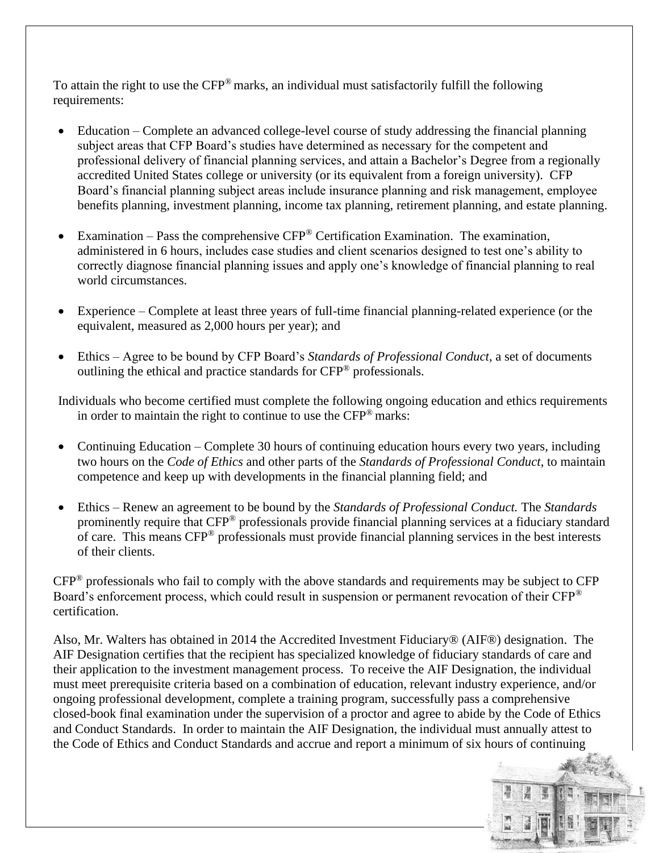To attain the right to use the  $CFP^{\otimes}$  marks, an individual must satisfactorily fulfill the following requirements:

- Education Complete an advanced college-level course of study addressing the financial planning subject areas that CFP Board's studies have determined as necessary for the competent and professional delivery of financial planning services, and attain a Bachelor's Degree from a regionally accredited United States college or university (or its equivalent from a foreign university). CFP Board's financial planning subject areas include insurance planning and risk management, employee benefits planning, investment planning, income tax planning, retirement planning, and estate planning.
- Examination Pass the comprehensive  $CFP^{\circledast}$  Certification Examination. The examination, administered in 6 hours, includes case studies and client scenarios designed to test one's ability to correctly diagnose financial planning issues and apply one's knowledge of financial planning to real world circumstances.
- Experience Complete at least three years of full-time financial planning-related experience (or the equivalent, measured as 2,000 hours per year); and
- Ethics Agree to be bound by CFP Board's *Standards of Professional Conduct*, a set of documents outlining the ethical and practice standards for CFP® professionals.

Individuals who become certified must complete the following ongoing education and ethics requirements in order to maintain the right to continue to use the CFP® marks:

- Continuing Education Complete 30 hours of continuing education hours every two years, including two hours on the *Code of Ethics* and other parts of the *Standards of Professional Conduct*, to maintain competence and keep up with developments in the financial planning field; and
- Ethics Renew an agreement to be bound by the *Standards of Professional Conduct.* The *Standards* prominently require that CFP® professionals provide financial planning services at a fiduciary standard of care. This means CFP® professionals must provide financial planning services in the best interests of their clients.

CFP® professionals who fail to comply with the above standards and requirements may be subject to CFP Board's enforcement process, which could result in suspension or permanent revocation of their CFP<sup>®</sup> certification.

Also, Mr. Walters has obtained in 2014 the Accredited Investment Fiduciary® (AIF®) designation. The AIF Designation certifies that the recipient has specialized knowledge of fiduciary standards of care and their application to the investment management process. To receive the AIF Designation, the individual must meet prerequisite criteria based on a combination of education, relevant industry experience, and/or ongoing professional development, complete a training program, successfully pass a comprehensive closed-book final examination under the supervision of a proctor and agree to abide by the Code of Ethics and Conduct Standards. In order to maintain the AIF Designation, the individual must annually attest to the Code of Ethics and Conduct Standards and accrue and report a minimum of six hours of continuing

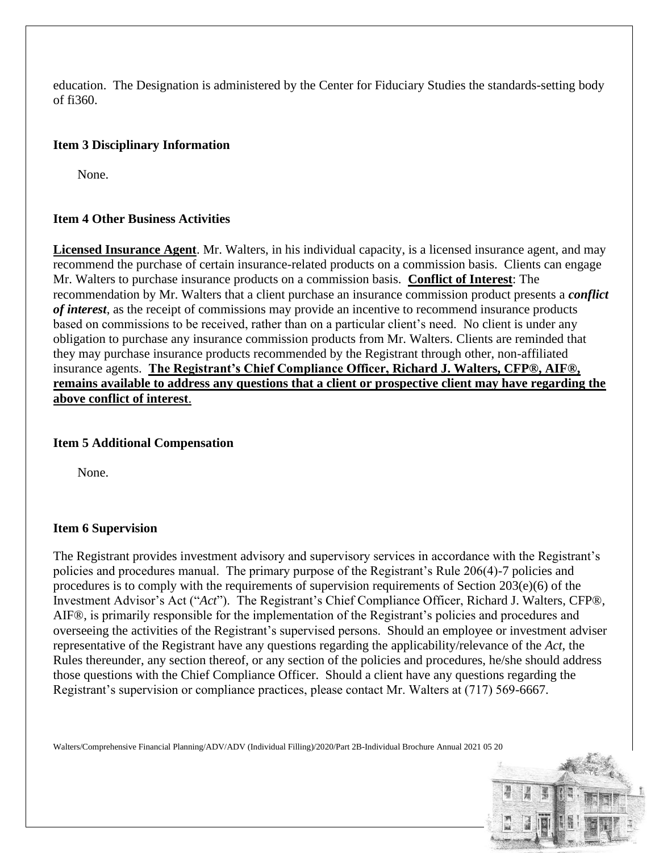education. The Designation is administered by the Center for Fiduciary Studies the standards-setting body of fi360.

## **Item 3 Disciplinary Information**

None.

## **Item 4 Other Business Activities**

**Licensed Insurance Agent**. Mr. Walters, in his individual capacity, is a licensed insurance agent, and may recommend the purchase of certain insurance-related products on a commission basis. Clients can engage Mr. Walters to purchase insurance products on a commission basis. **Conflict of Interest**: The recommendation by Mr. Walters that a client purchase an insurance commission product presents a *conflict of interest*, as the receipt of commissions may provide an incentive to recommend insurance products based on commissions to be received, rather than on a particular client's need. No client is under any obligation to purchase any insurance commission products from Mr. Walters. Clients are reminded that they may purchase insurance products recommended by the Registrant through other, non-affiliated insurance agents. **The Registrant's Chief Compliance Officer, Richard J. Walters, CFP®, AIF®, remains available to address any questions that a client or prospective client may have regarding the above conflict of interest**.

#### **Item 5 Additional Compensation**

None.

#### **Item 6 Supervision**

The Registrant provides investment advisory and supervisory services in accordance with the Registrant's policies and procedures manual. The primary purpose of the Registrant's Rule 206(4)-7 policies and procedures is to comply with the requirements of supervision requirements of Section 203(e)(6) of the Investment Advisor's Act ("*Act*"). The Registrant's Chief Compliance Officer, Richard J. Walters, CFP®, AIF®, is primarily responsible for the implementation of the Registrant's policies and procedures and overseeing the activities of the Registrant's supervised persons. Should an employee or investment adviser representative of the Registrant have any questions regarding the applicability/relevance of the *Act*, the Rules thereunder, any section thereof, or any section of the policies and procedures, he/she should address those questions with the Chief Compliance Officer. Should a client have any questions regarding the Registrant's supervision or compliance practices, please contact Mr. Walters at (717) 569-6667.

Walters/Comprehensive Financial Planning/ADV/ADV (Individual Filling)/2020/Part 2B-Individual Brochure Annual 2021 05 20

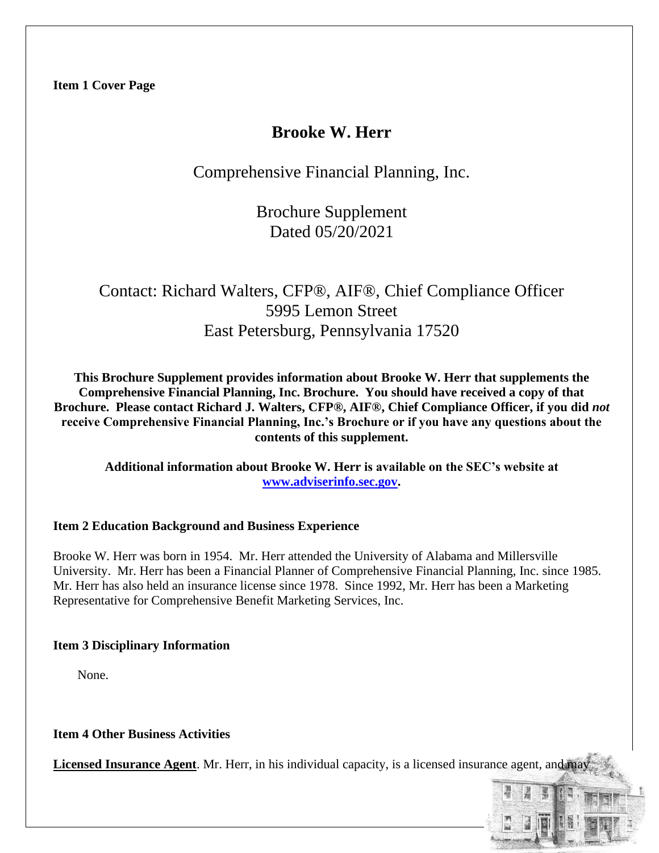## **Brooke W. Herr**

Comprehensive Financial Planning, Inc.

Brochure Supplement Dated 05/20/2021

# Contact: Richard Walters, CFP®, AIF®, Chief Compliance Officer 5995 Lemon Street East Petersburg, Pennsylvania 17520

**This Brochure Supplement provides information about Brooke W. Herr that supplements the Comprehensive Financial Planning, Inc. Brochure. You should have received a copy of that Brochure. Please contact Richard J. Walters, CFP®, AIF®, Chief Compliance Officer, if you did** *not*  **receive Comprehensive Financial Planning, Inc.'s Brochure or if you have any questions about the contents of this supplement.**

**Additional information about Brooke W. Herr is available on the SEC's website at [www.adviserinfo.sec.gov.](http://www.adviserinfo.sec.gov/)**

## **Item 2 Education Background and Business Experience**

Brooke W. Herr was born in 1954. Mr. Herr attended the University of Alabama and Millersville University. Mr. Herr has been a Financial Planner of Comprehensive Financial Planning, Inc. since 1985. Mr. Herr has also held an insurance license since 1978. Since 1992, Mr. Herr has been a Marketing Representative for Comprehensive Benefit Marketing Services, Inc.

## **Item 3 Disciplinary Information**

None.

**Item 4 Other Business Activities**

**Licensed Insurance Agent**. Mr. Herr, in his individual capacity, is a licensed insurance agent, and may

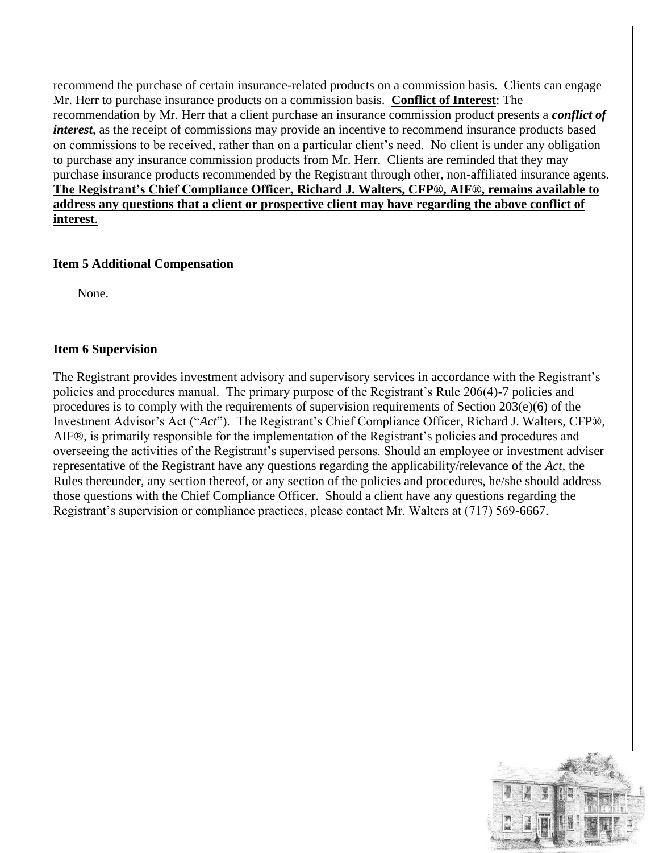recommend the purchase of certain insurance-related products on a commission basis. Clients can engage Mr. Herr to purchase insurance products on a commission basis. **Conflict of Interest**: The recommendation by Mr. Herr that a client purchase an insurance commission product presents a *conflict of interest*, as the receipt of commissions may provide an incentive to recommend insurance products based on commissions to be received, rather than on a particular client's need. No client is under any obligation to purchase any insurance commission products from Mr. Herr. Clients are reminded that they may purchase insurance products recommended by the Registrant through other, non-affiliated insurance agents. **The Registrant's Chief Compliance Officer, Richard J. Walters, CFP®, AIF®, remains available to address any questions that a client or prospective client may have regarding the above conflict of interest**.

### **Item 5 Additional Compensation**

None.

### **Item 6 Supervision**

The Registrant provides investment advisory and supervisory services in accordance with the Registrant's policies and procedures manual. The primary purpose of the Registrant's Rule 206(4)-7 policies and procedures is to comply with the requirements of supervision requirements of Section 203(e)(6) of the Investment Advisor's Act ("*Act*"). The Registrant's Chief Compliance Officer, Richard J. Walters, CFP®, AIF®, is primarily responsible for the implementation of the Registrant's policies and procedures and overseeing the activities of the Registrant's supervised persons. Should an employee or investment adviser representative of the Registrant have any questions regarding the applicability/relevance of the *Act*, the Rules thereunder, any section thereof, or any section of the policies and procedures, he/she should address those questions with the Chief Compliance Officer. Should a client have any questions regarding the Registrant's supervision or compliance practices, please contact Mr. Walters at (717) 569-6667.

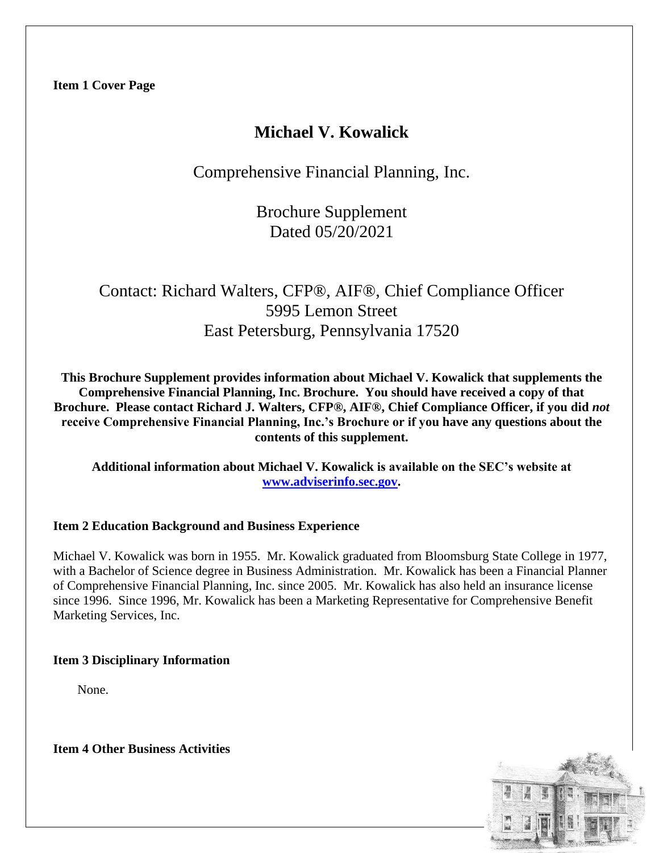## **Michael V. Kowalick**

Comprehensive Financial Planning, Inc.

Brochure Supplement Dated 05/20/2021

# Contact: Richard Walters, CFP®, AIF®, Chief Compliance Officer 5995 Lemon Street East Petersburg, Pennsylvania 17520

**This Brochure Supplement provides information about Michael V. Kowalick that supplements the Comprehensive Financial Planning, Inc. Brochure. You should have received a copy of that Brochure. Please contact Richard J. Walters, CFP®, AIF®, Chief Compliance Officer, if you did** *not*  **receive Comprehensive Financial Planning, Inc.'s Brochure or if you have any questions about the contents of this supplement.**

**Additional information about Michael V. Kowalick is available on the SEC's website at [www.adviserinfo.sec.gov.](http://www.adviserinfo.sec.gov/)**

## **Item 2 Education Background and Business Experience**

Michael V. Kowalick was born in 1955. Mr. Kowalick graduated from Bloomsburg State College in 1977, with a Bachelor of Science degree in Business Administration. Mr. Kowalick has been a Financial Planner of Comprehensive Financial Planning, Inc. since 2005. Mr. Kowalick has also held an insurance license since 1996. Since 1996, Mr. Kowalick has been a Marketing Representative for Comprehensive Benefit Marketing Services, Inc.

#### **Item 3 Disciplinary Information**

None.

**Item 4 Other Business Activities**

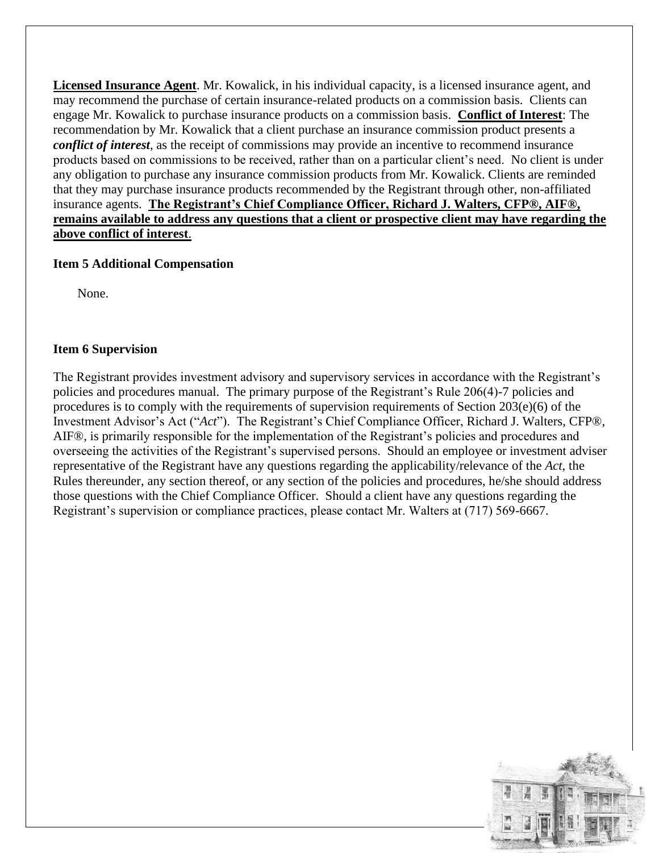**Licensed Insurance Agent**. Mr. Kowalick, in his individual capacity, is a licensed insurance agent, and may recommend the purchase of certain insurance-related products on a commission basis. Clients can engage Mr. Kowalick to purchase insurance products on a commission basis. **Conflict of Interest**: The recommendation by Mr. Kowalick that a client purchase an insurance commission product presents a *conflict of interest*, as the receipt of commissions may provide an incentive to recommend insurance products based on commissions to be received, rather than on a particular client's need. No client is under any obligation to purchase any insurance commission products from Mr. Kowalick. Clients are reminded that they may purchase insurance products recommended by the Registrant through other, non-affiliated insurance agents. **The Registrant's Chief Compliance Officer, Richard J. Walters, CFP®, AIF®, remains available to address any questions that a client or prospective client may have regarding the above conflict of interest**.

### **Item 5 Additional Compensation**

None.

### **Item 6 Supervision**

The Registrant provides investment advisory and supervisory services in accordance with the Registrant's policies and procedures manual. The primary purpose of the Registrant's Rule 206(4)-7 policies and procedures is to comply with the requirements of supervision requirements of Section  $203(e)(6)$  of the Investment Advisor's Act ("*Act*"). The Registrant's Chief Compliance Officer, Richard J. Walters, CFP®, AIF®, is primarily responsible for the implementation of the Registrant's policies and procedures and overseeing the activities of the Registrant's supervised persons. Should an employee or investment adviser representative of the Registrant have any questions regarding the applicability/relevance of the *Act*, the Rules thereunder, any section thereof, or any section of the policies and procedures, he/she should address those questions with the Chief Compliance Officer. Should a client have any questions regarding the Registrant's supervision or compliance practices, please contact Mr. Walters at (717) 569-6667.

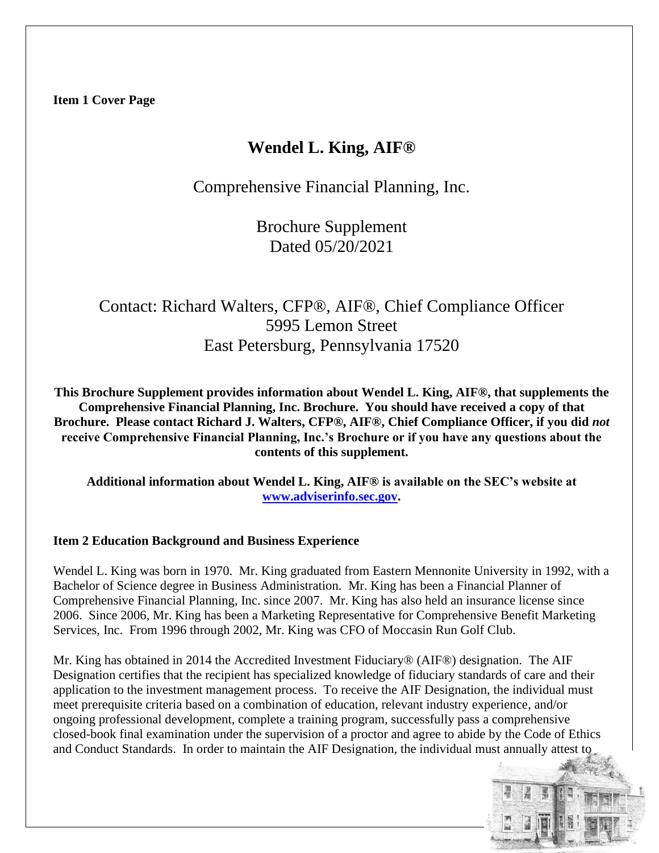## **Wendel L. King, AIF®**

Comprehensive Financial Planning, Inc.

Brochure Supplement Dated 05/20/2021

# Contact: Richard Walters, CFP®, AIF®, Chief Compliance Officer 5995 Lemon Street East Petersburg, Pennsylvania 17520

**This Brochure Supplement provides information about Wendel L. King, AIF®, that supplements the Comprehensive Financial Planning, Inc. Brochure. You should have received a copy of that Brochure. Please contact Richard J. Walters, CFP®, AIF®, Chief Compliance Officer, if you did** *not*  **receive Comprehensive Financial Planning, Inc.'s Brochure or if you have any questions about the contents of this supplement.**

**Additional information about Wendel L. King, AIF® is available on the SEC's website at [www.adviserinfo.sec.gov.](http://www.adviserinfo.sec.gov/)**

#### **Item 2 Education Background and Business Experience**

Wendel L. King was born in 1970. Mr. King graduated from Eastern Mennonite University in 1992, with a Bachelor of Science degree in Business Administration. Mr. King has been a Financial Planner of Comprehensive Financial Planning, Inc. since 2007. Mr. King has also held an insurance license since 2006. Since 2006, Mr. King has been a Marketing Representative for Comprehensive Benefit Marketing Services, Inc. From 1996 through 2002, Mr. King was CFO of Moccasin Run Golf Club.

Mr. King has obtained in 2014 the Accredited Investment Fiduciary® (AIF®) designation. The AIF Designation certifies that the recipient has specialized knowledge of fiduciary standards of care and their application to the investment management process. To receive the AIF Designation, the individual must meet prerequisite criteria based on a combination of education, relevant industry experience, and/or ongoing professional development, complete a training program, successfully pass a comprehensive closed-book final examination under the supervision of a proctor and agree to abide by the Code of Ethics and Conduct Standards. In order to maintain the AIF Designation, the individual must annually attest to

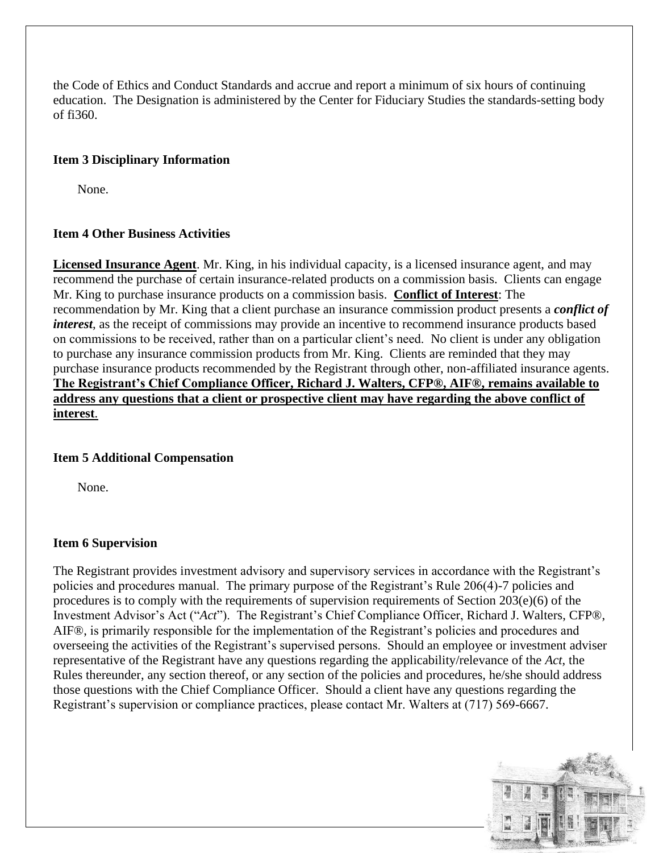the Code of Ethics and Conduct Standards and accrue and report a minimum of six hours of continuing education. The Designation is administered by the Center for Fiduciary Studies the standards-setting body of fi360.

## **Item 3 Disciplinary Information**

None.

## **Item 4 Other Business Activities**

**Licensed Insurance Agent**. Mr. King, in his individual capacity, is a licensed insurance agent, and may recommend the purchase of certain insurance-related products on a commission basis. Clients can engage Mr. King to purchase insurance products on a commission basis. **Conflict of Interest**: The recommendation by Mr. King that a client purchase an insurance commission product presents a *conflict of interest*, as the receipt of commissions may provide an incentive to recommend insurance products based on commissions to be received, rather than on a particular client's need. No client is under any obligation to purchase any insurance commission products from Mr. King. Clients are reminded that they may purchase insurance products recommended by the Registrant through other, non-affiliated insurance agents. **The Registrant's Chief Compliance Officer, Richard J. Walters, CFP®, AIF®, remains available to address any questions that a client or prospective client may have regarding the above conflict of interest**.

#### **Item 5 Additional Compensation**

None.

#### **Item 6 Supervision**

The Registrant provides investment advisory and supervisory services in accordance with the Registrant's policies and procedures manual. The primary purpose of the Registrant's Rule 206(4)-7 policies and procedures is to comply with the requirements of supervision requirements of Section 203(e)(6) of the Investment Advisor's Act ("*Act*"). The Registrant's Chief Compliance Officer, Richard J. Walters, CFP®, AIF®, is primarily responsible for the implementation of the Registrant's policies and procedures and overseeing the activities of the Registrant's supervised persons. Should an employee or investment adviser representative of the Registrant have any questions regarding the applicability/relevance of the *Act*, the Rules thereunder, any section thereof, or any section of the policies and procedures, he/she should address those questions with the Chief Compliance Officer. Should a client have any questions regarding the Registrant's supervision or compliance practices, please contact Mr. Walters at (717) 569-6667.

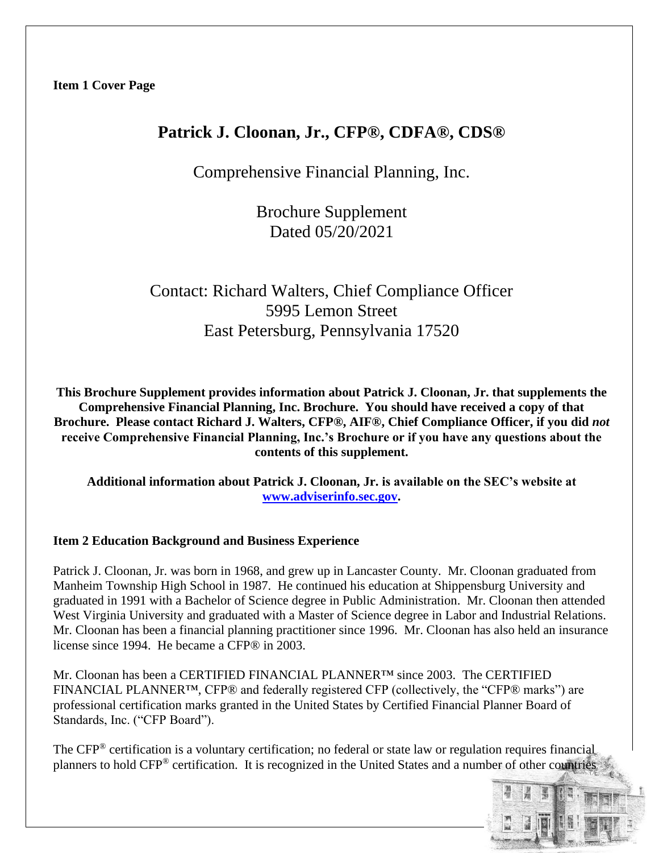## **Patrick J. Cloonan, Jr., CFP®, CDFA®, CDS®**

Comprehensive Financial Planning, Inc.

Brochure Supplement Dated 05/20/2021

## Contact: Richard Walters, Chief Compliance Officer 5995 Lemon Street East Petersburg, Pennsylvania 17520

**This Brochure Supplement provides information about Patrick J. Cloonan, Jr. that supplements the Comprehensive Financial Planning, Inc. Brochure. You should have received a copy of that Brochure. Please contact Richard J. Walters, CFP®, AIF®, Chief Compliance Officer, if you did** *not*  **receive Comprehensive Financial Planning, Inc.'s Brochure or if you have any questions about the contents of this supplement.**

**Additional information about Patrick J. Cloonan, Jr. is available on the SEC's website at [www.adviserinfo.sec.gov.](http://www.adviserinfo.sec.gov/)**

## **Item 2 Education Background and Business Experience**

Patrick J. Cloonan, Jr. was born in 1968, and grew up in Lancaster County. Mr. Cloonan graduated from Manheim Township High School in 1987. He continued his education at Shippensburg University and graduated in 1991 with a Bachelor of Science degree in Public Administration. Mr. Cloonan then attended West Virginia University and graduated with a Master of Science degree in Labor and Industrial Relations. Mr. Cloonan has been a financial planning practitioner since 1996. Mr. Cloonan has also held an insurance license since 1994. He became a CFP® in 2003.

Mr. Cloonan has been a CERTIFIED FINANCIAL PLANNER™ since 2003. The CERTIFIED FINANCIAL PLANNER™, CFP® and federally registered CFP (collectively, the "CFP® marks") are professional certification marks granted in the United States by Certified Financial Planner Board of Standards, Inc. ("CFP Board").

The CFP® certification is a voluntary certification; no federal or state law or regulation requires financial planners to hold CFP® certification. It is recognized in the United States and a number of other countries

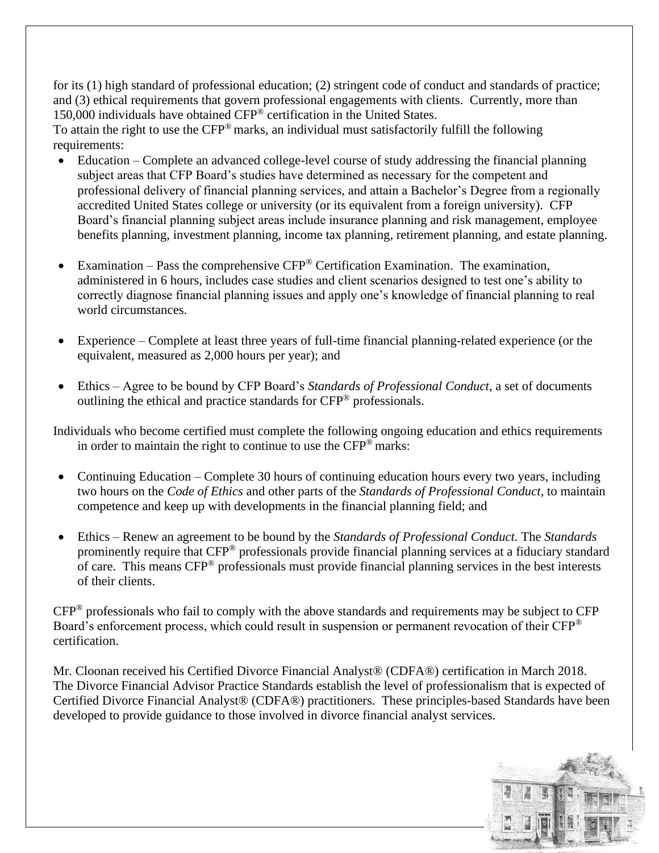for its (1) high standard of professional education; (2) stringent code of conduct and standards of practice; and (3) ethical requirements that govern professional engagements with clients. Currently, more than 150,000 individuals have obtained CFP® certification in the United States.

To attain the right to use the CFP® marks, an individual must satisfactorily fulfill the following requirements:

- Education Complete an advanced college-level course of study addressing the financial planning subject areas that CFP Board's studies have determined as necessary for the competent and professional delivery of financial planning services, and attain a Bachelor's Degree from a regionally accredited United States college or university (or its equivalent from a foreign university). CFP Board's financial planning subject areas include insurance planning and risk management, employee benefits planning, investment planning, income tax planning, retirement planning, and estate planning.
- Examination Pass the comprehensive  $CFP^{\otimes}$  Certification Examination. The examination, administered in 6 hours, includes case studies and client scenarios designed to test one's ability to correctly diagnose financial planning issues and apply one's knowledge of financial planning to real world circumstances.
- Experience Complete at least three years of full-time financial planning-related experience (or the equivalent, measured as 2,000 hours per year); and
- Ethics Agree to be bound by CFP Board's *Standards of Professional Conduct*, a set of documents outlining the ethical and practice standards for CFP® professionals.

Individuals who become certified must complete the following ongoing education and ethics requirements in order to maintain the right to continue to use the CFP® marks:

- Continuing Education Complete 30 hours of continuing education hours every two years, including two hours on the *Code of Ethics* and other parts of the *Standards of Professional Conduct*, to maintain competence and keep up with developments in the financial planning field; and
- Ethics Renew an agreement to be bound by the *Standards of Professional Conduct.* The *Standards* prominently require that CFP® professionals provide financial planning services at a fiduciary standard of care. This means CFP® professionals must provide financial planning services in the best interests of their clients.

CFP® professionals who fail to comply with the above standards and requirements may be subject to CFP Board's enforcement process, which could result in suspension or permanent revocation of their CFP® certification.

Mr. Cloonan received his Certified Divorce Financial Analyst® (CDFA®) certification in March 2018. The Divorce Financial Advisor Practice Standards establish the level of professionalism that is expected of Certified Divorce Financial Analyst® (CDFA®) practitioners. These principles-based Standards have been developed to provide guidance to those involved in divorce financial analyst services.

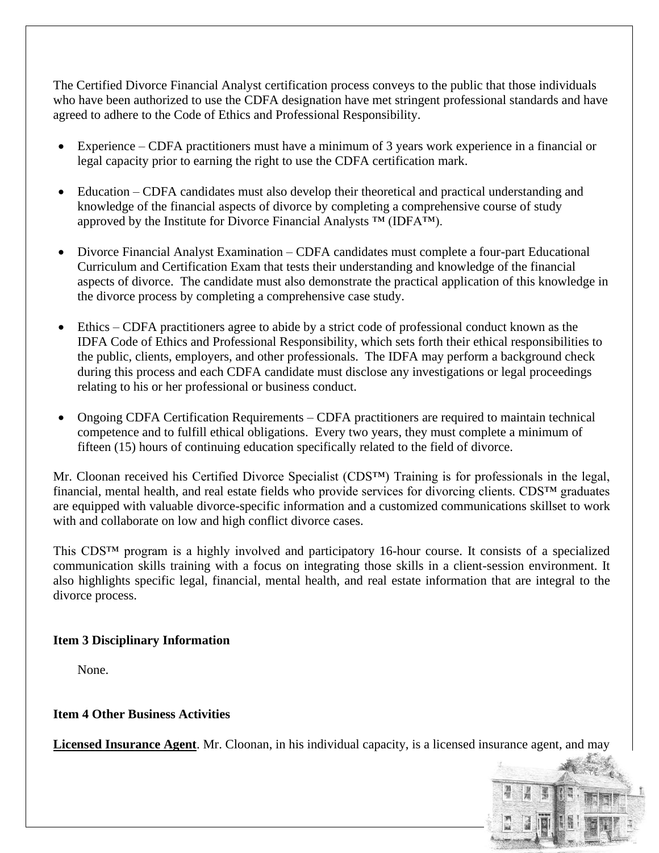The Certified Divorce Financial Analyst certification process conveys to the public that those individuals who have been authorized to use the CDFA designation have met stringent professional standards and have agreed to adhere to the Code of Ethics and Professional Responsibility.

- Experience CDFA practitioners must have a minimum of 3 years work experience in a financial or legal capacity prior to earning the right to use the CDFA certification mark.
- Education CDFA candidates must also develop their theoretical and practical understanding and knowledge of the financial aspects of divorce by completing a comprehensive course of study approved by the Institute for Divorce Financial Analysts ™ (IDFA™).
- Divorce Financial Analyst Examination CDFA candidates must complete a four-part Educational Curriculum and Certification Exam that tests their understanding and knowledge of the financial aspects of divorce. The candidate must also demonstrate the practical application of this knowledge in the divorce process by completing a comprehensive case study.
- Ethics CDFA practitioners agree to abide by a strict code of professional conduct known as the IDFA Code of Ethics and Professional Responsibility, which sets forth their ethical responsibilities to the public, clients, employers, and other professionals. The IDFA may perform a background check during this process and each CDFA candidate must disclose any investigations or legal proceedings relating to his or her professional or business conduct.
- Ongoing CDFA Certification Requirements CDFA practitioners are required to maintain technical competence and to fulfill ethical obligations. Every two years, they must complete a minimum of fifteen (15) hours of continuing education specifically related to the field of divorce.

Mr. Cloonan received his Certified Divorce Specialist (CDS™) Training is for professionals in the legal, financial, mental health, and real estate fields who provide services for divorcing clients. CDS™ graduates are equipped with valuable divorce-specific information and a customized communications skillset to work with and collaborate on low and high conflict divorce cases.

This CDS™ program is a highly involved and participatory 16-hour course. It consists of a specialized communication skills training with a focus on integrating those skills in a client-session environment. It also highlights specific legal, financial, mental health, and real estate information that are integral to the divorce process.

## **Item 3 Disciplinary Information**

None.

## **Item 4 Other Business Activities**

**Licensed Insurance Agent**. Mr. Cloonan, in his individual capacity, is a licensed insurance agent, and may

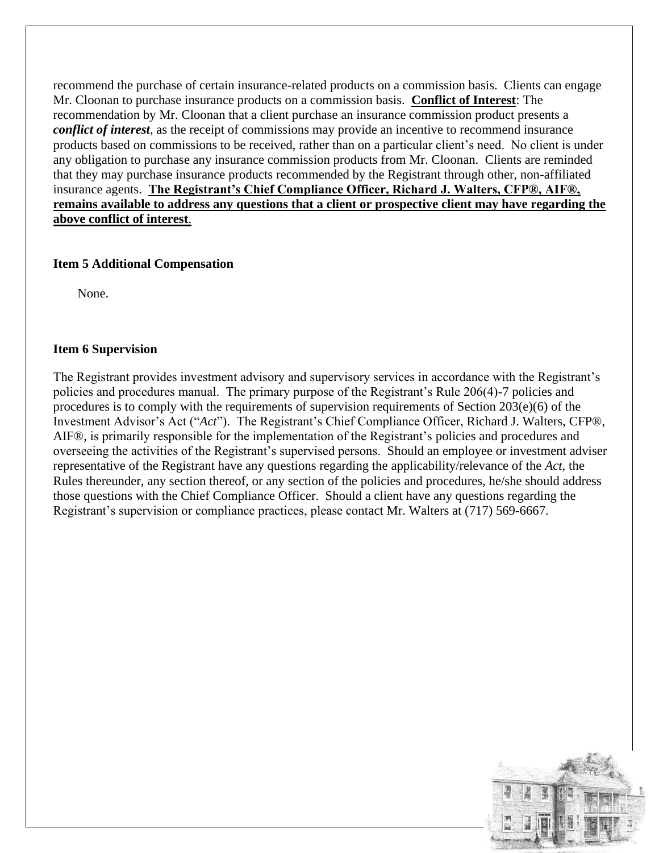recommend the purchase of certain insurance-related products on a commission basis. Clients can engage Mr. Cloonan to purchase insurance products on a commission basis. **Conflict of Interest**: The recommendation by Mr. Cloonan that a client purchase an insurance commission product presents a *conflict of interest*, as the receipt of commissions may provide an incentive to recommend insurance products based on commissions to be received, rather than on a particular client's need. No client is under any obligation to purchase any insurance commission products from Mr. Cloonan. Clients are reminded that they may purchase insurance products recommended by the Registrant through other, non-affiliated insurance agents. **The Registrant's Chief Compliance Officer, Richard J. Walters, CFP®, AIF®, remains available to address any questions that a client or prospective client may have regarding the above conflict of interest**.

### **Item 5 Additional Compensation**

None.

### **Item 6 Supervision**

The Registrant provides investment advisory and supervisory services in accordance with the Registrant's policies and procedures manual. The primary purpose of the Registrant's Rule 206(4)-7 policies and procedures is to comply with the requirements of supervision requirements of Section 203(e)(6) of the Investment Advisor's Act ("*Act*"). The Registrant's Chief Compliance Officer, Richard J. Walters, CFP®, AIF®, is primarily responsible for the implementation of the Registrant's policies and procedures and overseeing the activities of the Registrant's supervised persons. Should an employee or investment adviser representative of the Registrant have any questions regarding the applicability/relevance of the *Act*, the Rules thereunder, any section thereof, or any section of the policies and procedures, he/she should address those questions with the Chief Compliance Officer. Should a client have any questions regarding the Registrant's supervision or compliance practices, please contact Mr. Walters at (717) 569-6667.

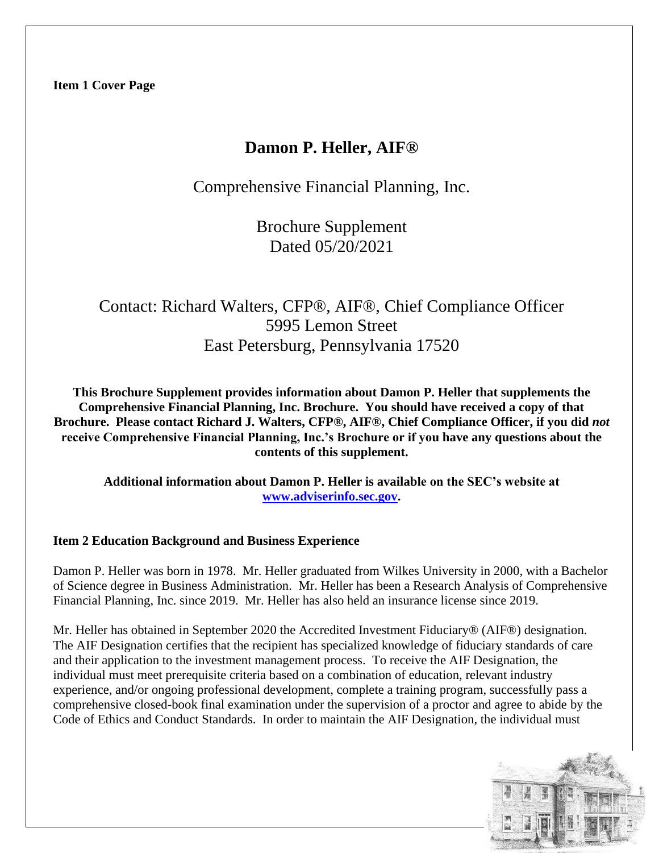## **Damon P. Heller, AIF®**

Comprehensive Financial Planning, Inc.

Brochure Supplement Dated 05/20/2021

# Contact: Richard Walters, CFP®, AIF®, Chief Compliance Officer 5995 Lemon Street East Petersburg, Pennsylvania 17520

**This Brochure Supplement provides information about Damon P. Heller that supplements the Comprehensive Financial Planning, Inc. Brochure. You should have received a copy of that Brochure. Please contact Richard J. Walters, CFP®, AIF®, Chief Compliance Officer, if you did** *not*  **receive Comprehensive Financial Planning, Inc.'s Brochure or if you have any questions about the contents of this supplement.**

**Additional information about Damon P. Heller is available on the SEC's website at [www.adviserinfo.sec.gov.](http://www.adviserinfo.sec.gov/)**

## **Item 2 Education Background and Business Experience**

Damon P. Heller was born in 1978. Mr. Heller graduated from Wilkes University in 2000, with a Bachelor of Science degree in Business Administration. Mr. Heller has been a Research Analysis of Comprehensive Financial Planning, Inc. since 2019. Mr. Heller has also held an insurance license since 2019.

Mr. Heller has obtained in September 2020 the Accredited Investment Fiduciary® (AIF®) designation. The AIF Designation certifies that the recipient has specialized knowledge of fiduciary standards of care and their application to the investment management process. To receive the AIF Designation, the individual must meet prerequisite criteria based on a combination of education, relevant industry experience, and/or ongoing professional development, complete a training program, successfully pass a comprehensive closed-book final examination under the supervision of a proctor and agree to abide by the Code of Ethics and Conduct Standards. In order to maintain the AIF Designation, the individual must